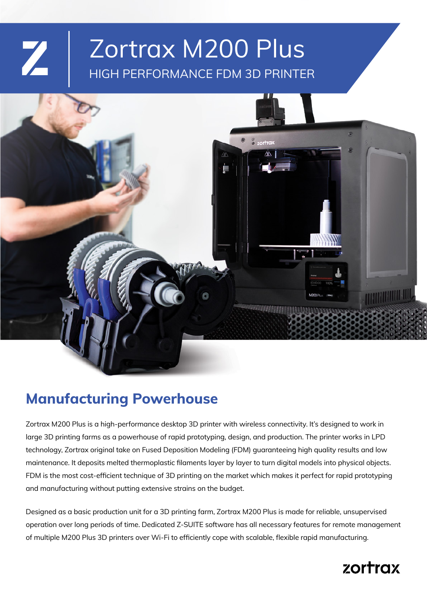# HIGH PERFORMANCE FDM 3D PRINTER Zortrax M200 Plus



## **Manufacturing Powerhouse**

 $\mathbf{Z}$ 

Zortrax M200 Plus is a high-performance desktop 3D printer with wireless connectivity. It's designed to work in large 3D printing farms as a powerhouse of rapid prototyping, design, and production. The printer works in LPD technology, Zortrax original take on Fused Deposition Modeling (FDM) guaranteeing high quality results and low maintenance. It deposits melted thermoplastic flaments layer by layer to turn digital models into physical objects. FDM is the most cost-effcient technique of 3D printing on the market which makes it perfect for rapid prototyping and manufacturing without putting extensive strains on the budget.

Designed as a basic production unit for a 3D printing farm, Zortrax M200 Plus is made for reliable, unsupervised operation over long periods of time. Dedicated Z-SUITE software has all necessary features for remote management of multiple M200 Plus 3D printers over Wi-Fi to effciently cope with scalable, fexible rapid manufacturing.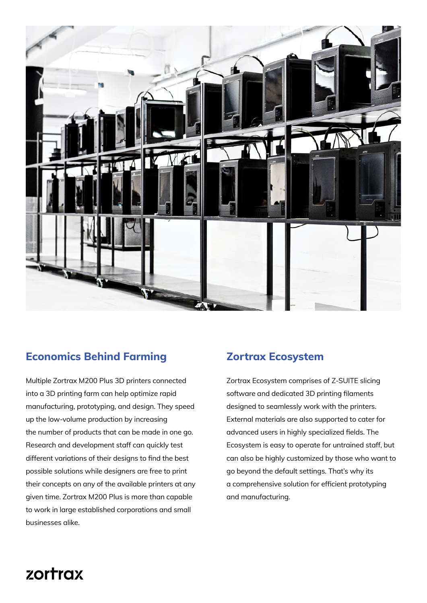

## **Economics Behind Farming**

Multiple Zortrax M200 Plus 3D printers connected into a 3D printing farm can help optimize rapid manufacturing, prototyping, and design. They speed up the low-volume production by increasing the number of products that can be made in one go. Research and development staff can quickly test different variations of their designs to find the best possible solutions while designers are free to print their concepts on any of the available printers at any given time. Zortrax M200 Plus is more than capable to work in large established corporations and small businesses alike.

## **Zortrax Ecosystem**

Zortrax Ecosystem comprises of Z-SUITE slicing software and dedicated 3D printing flaments designed to seamlessly work with the printers. External materials are also supported to cater for advanced users in highly specialized felds. The Ecosystem is easy to operate for untrained staff, but can also be highly customized by those who want to go beyond the default settings. That's why its a comprehensive solution for efficient prototyping and manufacturing.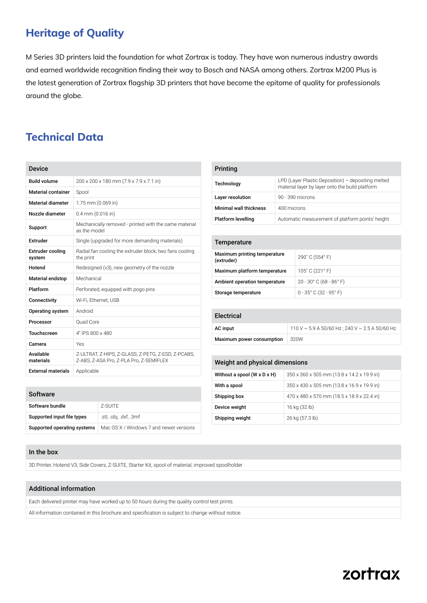## **Heritage of Quality**

M Series 3D printers laid the foundation for what Zortrax is today. They have won numerous industry awards and earned worldwide recognition fnding their way to Bosch and NASA among others. Zortrax M200 Plus is the latest generation of Zortrax flagship 3D printers that have become the epitome of quality for professionals around the globe.

## **Technical Data**

| <b>Device</b>                     |                                                                                               |  |
|-----------------------------------|-----------------------------------------------------------------------------------------------|--|
| <b>Build volume</b>               | 200 x 200 x 180 mm (7.9 x 7.9 x 7.1 in)                                                       |  |
| <b>Material container</b>         | Spool                                                                                         |  |
| <b>Material diameter</b>          | 1.75 mm (0.069 in)                                                                            |  |
| Nozzle diameter                   | $0.4$ mm $(0.016$ in)                                                                         |  |
| Support                           | Mechanically removed - printed with the same material<br>as the model                         |  |
| Extruder                          | Single (upgraded for more demanding materials)                                                |  |
| <b>Extruder cooling</b><br>system | Radial fan cooling the extruder block; two fans cooling<br>the print                          |  |
| Hotend                            | Redesigned (v3), new geometry of the nozzle                                                   |  |
| <b>Material endstop</b>           | Mechanical                                                                                    |  |
| Platform                          | Perforated, equipped with pogo pins                                                           |  |
| Connectivity                      | Wi-Fi, Ethernet, USB                                                                          |  |
| Operating system                  | Android                                                                                       |  |
| Processor                         | Ouad Core                                                                                     |  |
| <b>Touchscreen</b>                | 4" IPS 800 x 480                                                                              |  |
| Camera                            | Yes                                                                                           |  |
| Available<br>materials            | Z-ULTRAT, Z-HIPS, Z-GLASS, Z-PETG, Z-ESD, Z-PCABS,<br>Z-ABS, Z-ASA Pro, Z-PLA Pro, Z-SEMIFLEX |  |
| <b>External materials</b>         | Applicable                                                                                    |  |

| Printing                      |                                                                                                       |  |
|-------------------------------|-------------------------------------------------------------------------------------------------------|--|
| Technology                    | LPD (Layer Plastic Deposition) - depositing melted<br>material layer by layer onto the build platform |  |
| Layer resolution              | 90 - 390 microns                                                                                      |  |
| <b>Minimal wall thickness</b> | 400 microns                                                                                           |  |
| <b>Platform levelling</b>     | Automatic measurement of platform points' height                                                      |  |

#### **Temperature**

| Maximum printing temperature<br>(extruder) | 290° C (554° F)                            |
|--------------------------------------------|--------------------------------------------|
| Maximum platform temperature               | 105° C (221° F)                            |
| Ambient operation temperature              | $20 - 30^{\circ}$ C (68 - 86 $^{\circ}$ F) |
| Storage temperature                        | $0 - 35^{\circ}$ C (32 - 95 $^{\circ}$ F)  |

#### Electrical

| AC input                  | $110$ V $\sim$ 5.9 A 50/60 Hz : 240 V $\sim$ 2.5 A 50/60 Hz |
|---------------------------|-------------------------------------------------------------|
| Maximum power consumption | 320W                                                        |

#### Weight and physical dimensions

| Without a spool (W x D x H) | 350 x 360 x 505 mm (13.8 x 14.2 x 19.9 in) |
|-----------------------------|--------------------------------------------|
| With a spool                | 350 x 430 x 505 mm (13.8 x 16.9 x 19.9 in) |
| Shipping box                | 470 x 480 x 570 mm (18.5 x 18.9 x 22.4 in) |
| Device weight               | 16 kg (32 lb)                              |
| Shipping weight             | 26 kg (57.3 lb)                            |

#### **Software**

| Software bundle             | 7-SUITE                                 |
|-----------------------------|-----------------------------------------|
| Supported input file types  | .stl, .obj, .dxf, .3mf                  |
| Supported operating systems | Mac OS X / Windows 7 and newer versions |

#### In the box

3D Printer, Hotend V3, Side Covers, Z-SUITE, Starter Kit, spool of material, improved spoolholder

#### Additional information

Each delivered printer may have worked up to 50 hours during the quality control test prints.

All information contained in this brochure and specifcation is subject to change without notice.